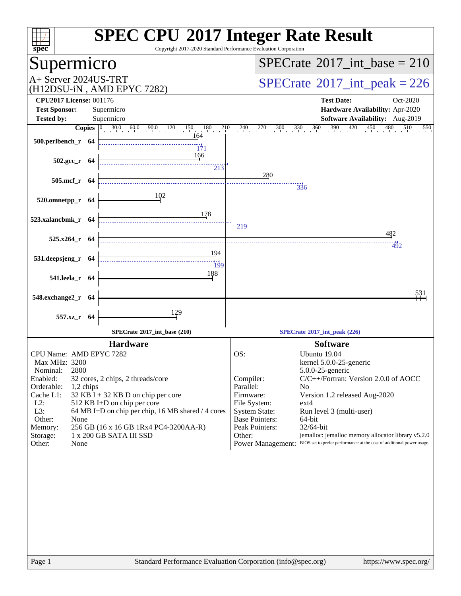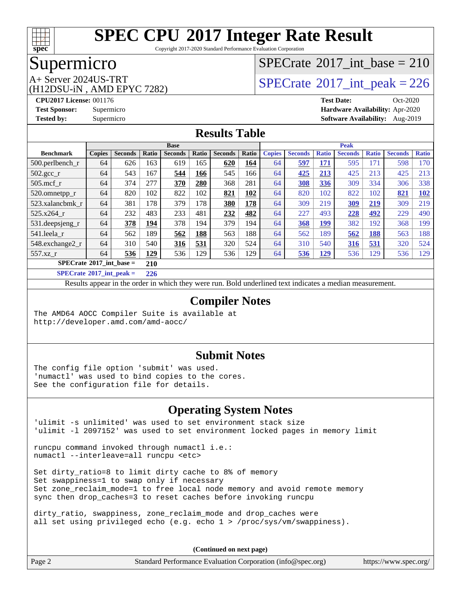

Copyright 2017-2020 Standard Performance Evaluation Corporation

#### Supermicro

# (H12DSU-iN , AMD EPYC 7282)

#### $SPECTate$ <sup>®</sup>[2017\\_int\\_base =](http://www.spec.org/auto/cpu2017/Docs/result-fields.html#SPECrate2017intbase) 210

A+ Server 2024US-TRT  $\begin{array}{|l|l|}\n\hline\n\text{A+ Server 2024US-TRT}\n\hline\n\text{A+ M1} & \text{A} & \text{B+ B} & \text{SPECrate} \end{array}$  $\begin{array}{|l|l|}\n\hline\n\text{A+ Server 2024US-TRT}\n\hline\n\text{A+ M1} & \text{A} & \text{B+ B} & \text{SPECrate} \end{array}$  $\begin{array}{|l|l|}\n\hline\n\text{A+ Server 2024US-TRT}\n\hline\n\text{A+ M1} & \text{A} & \text{B+ B} & \text{SPECrate} \end{array}$ 

**[CPU2017 License:](http://www.spec.org/auto/cpu2017/Docs/result-fields.html#CPU2017License)** 001176 **[Test Date:](http://www.spec.org/auto/cpu2017/Docs/result-fields.html#TestDate)** Oct-2020 **[Test Sponsor:](http://www.spec.org/auto/cpu2017/Docs/result-fields.html#TestSponsor)** Supermicro **[Hardware Availability:](http://www.spec.org/auto/cpu2017/Docs/result-fields.html#HardwareAvailability)** Apr-2020 **[Tested by:](http://www.spec.org/auto/cpu2017/Docs/result-fields.html#Testedby)** Supermicro **[Software Availability:](http://www.spec.org/auto/cpu2017/Docs/result-fields.html#SoftwareAvailability)** Aug-2019

#### **[Results Table](http://www.spec.org/auto/cpu2017/Docs/result-fields.html#ResultsTable)**

|                                                         | <b>Base</b>   |                |       |                |       |                | <b>Peak</b> |               |                |              |                |              |                |              |
|---------------------------------------------------------|---------------|----------------|-------|----------------|-------|----------------|-------------|---------------|----------------|--------------|----------------|--------------|----------------|--------------|
| <b>Benchmark</b>                                        | <b>Copies</b> | <b>Seconds</b> | Ratio | <b>Seconds</b> | Ratio | <b>Seconds</b> | Ratio       | <b>Copies</b> | <b>Seconds</b> | <b>Ratio</b> | <b>Seconds</b> | <b>Ratio</b> | <b>Seconds</b> | <b>Ratio</b> |
| 500.perlbench_r                                         | 64            | 626            | 163   | 619            | 165   | 620            | 164         | 64            | 597            | 171          | 595            | 171          | 598            | 170          |
| 502.gcc_r                                               | 64            | 543            | 167   | 544            | 166   | 545            | 166         | 64            | 425            | 213          | 425            | 213          | 425            | 213          |
| $505$ .mcf r                                            | 64            | 374            | 277   | 370            | 280   | 368            | 281         | 64            | 308            | 336          | 309            | 334          | 306            | 338          |
| 520.omnetpp_r                                           | 64            | 820            | 102   | 822            | 102   | 821            | <b>102</b>  | 64            | 820            | 102          | 822            | 102          | 821            | <b>102</b>   |
| 523.xalancbmk r                                         | 64            | 381            | 178   | 379            | 178   | 380            | 178         | 64            | 309            | 219          | 309            | 219          | 309            | 219          |
| 525.x264 r                                              | 64            | 232            | 483   | 233            | 481   | 232            | 482         | 64            | 227            | 493          | 228            | <u>492</u>   | 229            | 490          |
| 531.deepsjeng_r                                         | 64            | 378            | 194   | 378            | 194   | 379            | 194         | 64            | 368            | 199          | 382            | 192          | 368            | 199          |
| 541.leela r                                             | 64            | 562            | 189   | 562            | 188   | 563            | 188         | 64            | 562            | 189          | 562            | 188          | 563            | 188          |
| 548.exchange2_r                                         | 64            | 310            | 540   | 316            | 531   | 320            | 524         | 64            | 310            | 540          | 316            | 531          | 320            | 524          |
| 557.xz r                                                | 64            | 536            | 129   | 536            | 129   | 536            | 129         | 64            | 536            | <b>129</b>   | 536            | 129          | 536            | 129          |
| $SPECrate^{\circ}2017$ int base =                       |               |                | 210   |                |       |                |             |               |                |              |                |              |                |              |
| $\sim$ $\sim$ $\sim$ $\sim$ $\sim$ $\sim$ $\sim$ $\sim$ |               |                |       |                |       |                |             |               |                |              |                |              |                |              |

**[SPECrate](http://www.spec.org/auto/cpu2017/Docs/result-fields.html#SPECrate2017intpeak)[2017\\_int\\_peak =](http://www.spec.org/auto/cpu2017/Docs/result-fields.html#SPECrate2017intpeak) 226**

Results appear in the [order in which they were run](http://www.spec.org/auto/cpu2017/Docs/result-fields.html#RunOrder). Bold underlined text [indicates a median measurement](http://www.spec.org/auto/cpu2017/Docs/result-fields.html#Median).

#### **[Compiler Notes](http://www.spec.org/auto/cpu2017/Docs/result-fields.html#CompilerNotes)**

The AMD64 AOCC Compiler Suite is available at <http://developer.amd.com/amd-aocc/>

#### **[Submit Notes](http://www.spec.org/auto/cpu2017/Docs/result-fields.html#SubmitNotes)**

The config file option 'submit' was used. 'numactl' was used to bind copies to the cores. See the configuration file for details.

#### **[Operating System Notes](http://www.spec.org/auto/cpu2017/Docs/result-fields.html#OperatingSystemNotes)**

'ulimit -s unlimited' was used to set environment stack size 'ulimit -l 2097152' was used to set environment locked pages in memory limit

runcpu command invoked through numactl i.e.: numactl --interleave=all runcpu <etc>

Set dirty\_ratio=8 to limit dirty cache to 8% of memory Set swappiness=1 to swap only if necessary Set zone\_reclaim\_mode=1 to free local node memory and avoid remote memory sync then drop\_caches=3 to reset caches before invoking runcpu

dirty\_ratio, swappiness, zone\_reclaim\_mode and drop\_caches were all set using privileged echo (e.g. echo 1 > /proc/sys/vm/swappiness).

**(Continued on next page)**

Page 2 Standard Performance Evaluation Corporation [\(info@spec.org\)](mailto:info@spec.org) <https://www.spec.org/>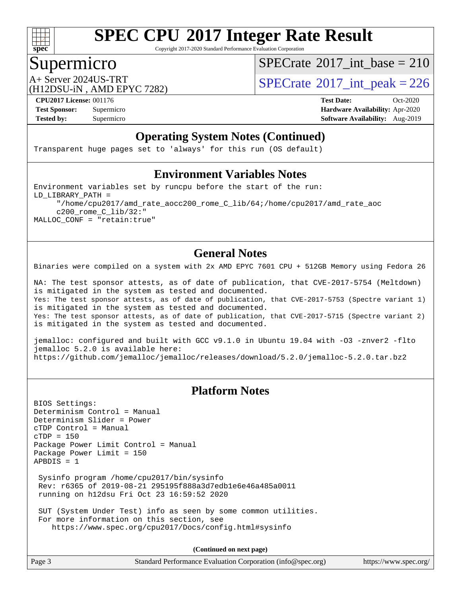

Copyright 2017-2020 Standard Performance Evaluation Corporation

#### Supermicro

 $SPECrate$ <sup>®</sup>[2017\\_int\\_base =](http://www.spec.org/auto/cpu2017/Docs/result-fields.html#SPECrate2017intbase) 210

(H12DSU-iN , AMD EPYC 7282)

A+ Server 2024US-TRT  $SPECTate$ <sup>®</sup>[2017\\_int\\_peak = 2](http://www.spec.org/auto/cpu2017/Docs/result-fields.html#SPECrate2017intpeak)26

**[CPU2017 License:](http://www.spec.org/auto/cpu2017/Docs/result-fields.html#CPU2017License)** 001176 **[Test Date:](http://www.spec.org/auto/cpu2017/Docs/result-fields.html#TestDate)** Oct-2020 **[Test Sponsor:](http://www.spec.org/auto/cpu2017/Docs/result-fields.html#TestSponsor)** Supermicro **[Hardware Availability:](http://www.spec.org/auto/cpu2017/Docs/result-fields.html#HardwareAvailability)** Apr-2020 **[Tested by:](http://www.spec.org/auto/cpu2017/Docs/result-fields.html#Testedby)** Supermicro **Supermicro [Software Availability:](http://www.spec.org/auto/cpu2017/Docs/result-fields.html#SoftwareAvailability)** Aug-2019

#### **[Operating System Notes \(Continued\)](http://www.spec.org/auto/cpu2017/Docs/result-fields.html#OperatingSystemNotes)**

Transparent huge pages set to 'always' for this run (OS default)

#### **[Environment Variables Notes](http://www.spec.org/auto/cpu2017/Docs/result-fields.html#EnvironmentVariablesNotes)**

Environment variables set by runcpu before the start of the run: LD\_LIBRARY\_PATH = "/home/cpu2017/amd\_rate\_aocc200\_rome\_C\_lib/64;/home/cpu2017/amd\_rate\_aoc c200\_rome\_C\_lib/32:" MALLOC\_CONF = "retain:true"

#### **[General Notes](http://www.spec.org/auto/cpu2017/Docs/result-fields.html#GeneralNotes)**

Binaries were compiled on a system with 2x AMD EPYC 7601 CPU + 512GB Memory using Fedora 26

NA: The test sponsor attests, as of date of publication, that CVE-2017-5754 (Meltdown) is mitigated in the system as tested and documented. Yes: The test sponsor attests, as of date of publication, that CVE-2017-5753 (Spectre variant 1) is mitigated in the system as tested and documented. Yes: The test sponsor attests, as of date of publication, that CVE-2017-5715 (Spectre variant 2) is mitigated in the system as tested and documented.

jemalloc: configured and built with GCC v9.1.0 in Ubuntu 19.04 with -O3 -znver2 -flto jemalloc 5.2.0 is available here: <https://github.com/jemalloc/jemalloc/releases/download/5.2.0/jemalloc-5.2.0.tar.bz2>

#### **[Platform Notes](http://www.spec.org/auto/cpu2017/Docs/result-fields.html#PlatformNotes)**

BIOS Settings: Determinism Control = Manual Determinism Slider = Power cTDP Control = Manual cTDP = 150 Package Power Limit Control = Manual Package Power Limit = 150 APBDIS = 1

 Sysinfo program /home/cpu2017/bin/sysinfo Rev: r6365 of 2019-08-21 295195f888a3d7edb1e6e46a485a0011 running on h12dsu Fri Oct 23 16:59:52 2020

 SUT (System Under Test) info as seen by some common utilities. For more information on this section, see <https://www.spec.org/cpu2017/Docs/config.html#sysinfo>

**(Continued on next page)**

| Page 3<br>Standard Performance Evaluation Corporation (info@spec.org) | https://www.spec.org/ |
|-----------------------------------------------------------------------|-----------------------|
|-----------------------------------------------------------------------|-----------------------|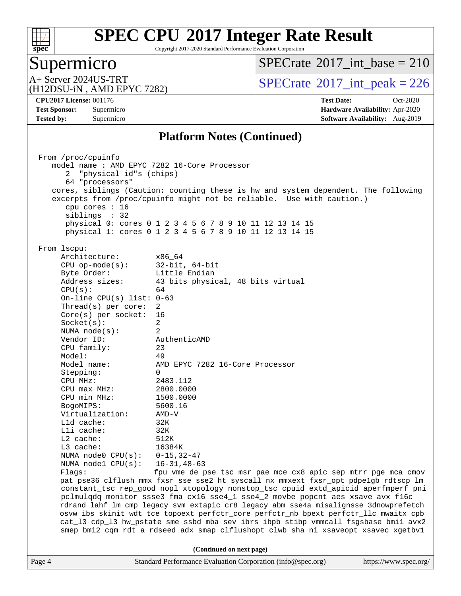

Copyright 2017-2020 Standard Performance Evaluation Corporation

# Supermicro<br>A+ Server 2024US-TRT

 $SPECrate$ <sup>®</sup>[2017\\_int\\_base =](http://www.spec.org/auto/cpu2017/Docs/result-fields.html#SPECrate2017intbase) 210

(H12DSU-iN , AMD EPYC 7282)

 $SPECTate$ <sup>®</sup>[2017\\_int\\_peak = 2](http://www.spec.org/auto/cpu2017/Docs/result-fields.html#SPECrate2017intpeak)26

**[CPU2017 License:](http://www.spec.org/auto/cpu2017/Docs/result-fields.html#CPU2017License)** 001176 **[Test Date:](http://www.spec.org/auto/cpu2017/Docs/result-fields.html#TestDate)** Oct-2020 **[Test Sponsor:](http://www.spec.org/auto/cpu2017/Docs/result-fields.html#TestSponsor)** Supermicro **[Hardware Availability:](http://www.spec.org/auto/cpu2017/Docs/result-fields.html#HardwareAvailability)** Apr-2020 **[Tested by:](http://www.spec.org/auto/cpu2017/Docs/result-fields.html#Testedby)** Supermicro **Supermicro [Software Availability:](http://www.spec.org/auto/cpu2017/Docs/result-fields.html#SoftwareAvailability)** Aug-2019

#### **[Platform Notes \(Continued\)](http://www.spec.org/auto/cpu2017/Docs/result-fields.html#PlatformNotes)**

| From /proc/cpuinfo                                                    |                                                                                      |  |  |  |  |  |
|-----------------------------------------------------------------------|--------------------------------------------------------------------------------------|--|--|--|--|--|
| model name : AMD EPYC 7282 16-Core Processor                          |                                                                                      |  |  |  |  |  |
| "physical id"s (chips)<br>2                                           |                                                                                      |  |  |  |  |  |
| 64 "processors"                                                       |                                                                                      |  |  |  |  |  |
|                                                                       | cores, siblings (Caution: counting these is hw and system dependent. The following   |  |  |  |  |  |
| excerpts from /proc/cpuinfo might not be reliable. Use with caution.) |                                                                                      |  |  |  |  |  |
|                                                                       |                                                                                      |  |  |  |  |  |
| cpu cores $: 16$                                                      |                                                                                      |  |  |  |  |  |
| siblings : 32                                                         |                                                                                      |  |  |  |  |  |
|                                                                       | physical 0: cores 0 1 2 3 4 5 6 7 8 9 10 11 12 13 14 15                              |  |  |  |  |  |
|                                                                       | physical 1: cores 0 1 2 3 4 5 6 7 8 9 10 11 12 13 14 15                              |  |  |  |  |  |
|                                                                       |                                                                                      |  |  |  |  |  |
| From lscpu:                                                           |                                                                                      |  |  |  |  |  |
| Architecture:                                                         | x86 64                                                                               |  |  |  |  |  |
| $CPU$ op-mode( $s$ ):                                                 | $32$ -bit, $64$ -bit                                                                 |  |  |  |  |  |
| Byte Order:                                                           | Little Endian                                                                        |  |  |  |  |  |
| Address sizes:                                                        | 43 bits physical, 48 bits virtual                                                    |  |  |  |  |  |
| CPU(s):                                                               | 64                                                                                   |  |  |  |  |  |
| On-line CPU(s) list: $0-63$                                           |                                                                                      |  |  |  |  |  |
| Thread(s) per core:                                                   | 2                                                                                    |  |  |  |  |  |
| $Core(s)$ per socket:                                                 | 16                                                                                   |  |  |  |  |  |
| Socket(s):                                                            | $\overline{2}$                                                                       |  |  |  |  |  |
| NUMA $node(s):$                                                       | 2                                                                                    |  |  |  |  |  |
| Vendor ID:                                                            | AuthenticAMD                                                                         |  |  |  |  |  |
| CPU family:                                                           | 23                                                                                   |  |  |  |  |  |
| Model:                                                                | 49                                                                                   |  |  |  |  |  |
| Model name:                                                           | AMD EPYC 7282 16-Core Processor                                                      |  |  |  |  |  |
|                                                                       | $\Omega$                                                                             |  |  |  |  |  |
| Stepping:<br>CPU MHz:                                                 | 2483.112                                                                             |  |  |  |  |  |
|                                                                       |                                                                                      |  |  |  |  |  |
| $CPU$ max $MHz$ :                                                     | 2800.0000                                                                            |  |  |  |  |  |
| CPU min MHz:                                                          | 1500.0000                                                                            |  |  |  |  |  |
| BogoMIPS:                                                             | 5600.16                                                                              |  |  |  |  |  |
| Virtualization:                                                       | $AMD-V$                                                                              |  |  |  |  |  |
| L1d cache:                                                            | 32K                                                                                  |  |  |  |  |  |
| $L1i$ cache:                                                          | 32K                                                                                  |  |  |  |  |  |
| $L2$ cache:                                                           | 512K                                                                                 |  |  |  |  |  |
| $L3$ cache:                                                           | 16384K                                                                               |  |  |  |  |  |
| NUMA node0 $CPU(s): 0-15, 32-47$                                      |                                                                                      |  |  |  |  |  |
| NUMA $node1$ $CPU(s):$                                                | $16 - 31, 48 - 63$                                                                   |  |  |  |  |  |
| Flaqs:                                                                | fpu vme de pse tsc msr pae mce cx8 apic sep mtrr pge mca cmov                        |  |  |  |  |  |
|                                                                       | pat pse36 clflush mmx fxsr sse sse2 ht syscall nx mmxext fxsr_opt pdpe1gb rdtscp lm  |  |  |  |  |  |
|                                                                       | constant_tsc rep_good nopl xtopology nonstop_tsc cpuid extd_apicid aperfmperf pni    |  |  |  |  |  |
|                                                                       | pclmulqdq monitor ssse3 fma cx16 sse4_1 sse4_2 movbe popcnt aes xsave avx f16c       |  |  |  |  |  |
|                                                                       | rdrand lahf_lm cmp_legacy svm extapic cr8_legacy abm sse4a misalignsse 3dnowprefetch |  |  |  |  |  |
|                                                                       | osvw ibs skinit wdt tce topoext perfctr_core perfctr_nb bpext perfctr_llc mwaitx cpb |  |  |  |  |  |
|                                                                       | cat_13 cdp_13 hw_pstate sme ssbd mba sev ibrs ibpb stibp vmmcall fsgsbase bmil avx2  |  |  |  |  |  |
|                                                                       | smep bmi2 cqm rdt_a rdseed adx smap clflushopt clwb sha_ni xsaveopt xsavec xgetbvl   |  |  |  |  |  |
|                                                                       |                                                                                      |  |  |  |  |  |
|                                                                       |                                                                                      |  |  |  |  |  |
|                                                                       | (Continued on next page)                                                             |  |  |  |  |  |
| Page 4                                                                | Standard Performance Evaluation Corporation (info@spec.org)<br>https://www.spec.org/ |  |  |  |  |  |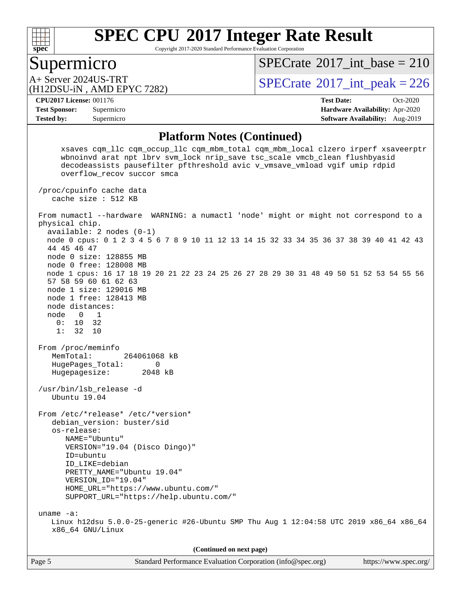

Copyright 2017-2020 Standard Performance Evaluation Corporation

#### Supermicro

 $SPECTate$ <sup>®</sup>[2017\\_int\\_base =](http://www.spec.org/auto/cpu2017/Docs/result-fields.html#SPECrate2017intbase) 210

(H12DSU-iN , AMD EPYC 7282)

A+ Server 2024US-TRT  $SPECTate$ <sup>®</sup>[2017\\_int\\_peak = 2](http://www.spec.org/auto/cpu2017/Docs/result-fields.html#SPECrate2017intpeak)26

**[Tested by:](http://www.spec.org/auto/cpu2017/Docs/result-fields.html#Testedby)** Supermicro **Supermicro [Software Availability:](http://www.spec.org/auto/cpu2017/Docs/result-fields.html#SoftwareAvailability)** Aug-2019

**[CPU2017 License:](http://www.spec.org/auto/cpu2017/Docs/result-fields.html#CPU2017License)** 001176 **[Test Date:](http://www.spec.org/auto/cpu2017/Docs/result-fields.html#TestDate)** Oct-2020 **[Test Sponsor:](http://www.spec.org/auto/cpu2017/Docs/result-fields.html#TestSponsor)** Supermicro **[Hardware Availability:](http://www.spec.org/auto/cpu2017/Docs/result-fields.html#HardwareAvailability)** Apr-2020

#### **[Platform Notes \(Continued\)](http://www.spec.org/auto/cpu2017/Docs/result-fields.html#PlatformNotes)**

Page 5 Standard Performance Evaluation Corporation [\(info@spec.org\)](mailto:info@spec.org) <https://www.spec.org/> xsaves cqm\_llc cqm\_occup\_llc cqm\_mbm\_total cqm\_mbm\_local clzero irperf xsaveerptr wbnoinvd arat npt lbrv svm\_lock nrip\_save tsc\_scale vmcb\_clean flushbyasid decodeassists pausefilter pfthreshold avic v\_vmsave\_vmload vgif umip rdpid overflow\_recov succor smca /proc/cpuinfo cache data cache size : 512 KB From numactl --hardware WARNING: a numactl 'node' might or might not correspond to a physical chip. available: 2 nodes (0-1) node 0 cpus: 0 1 2 3 4 5 6 7 8 9 10 11 12 13 14 15 32 33 34 35 36 37 38 39 40 41 42 43 44 45 46 47 node 0 size: 128855 MB node 0 free: 128008 MB node 1 cpus: 16 17 18 19 20 21 22 23 24 25 26 27 28 29 30 31 48 49 50 51 52 53 54 55 56 57 58 59 60 61 62 63 node 1 size: 129016 MB node 1 free: 128413 MB node distances: node 0 1 0: 10 32 1: 32 10 From /proc/meminfo MemTotal: 264061068 kB HugePages\_Total: 0 Hugepagesize: 2048 kB /usr/bin/lsb\_release -d Ubuntu 19.04 From /etc/\*release\* /etc/\*version\* debian\_version: buster/sid os-release: NAME="Ubuntu" VERSION="19.04 (Disco Dingo)" ID=ubuntu ID\_LIKE=debian PRETTY\_NAME="Ubuntu 19.04" VERSION\_ID="19.04" HOME\_URL="<https://www.ubuntu.com/"> SUPPORT\_URL="<https://help.ubuntu.com/"> uname -a: Linux h12dsu 5.0.0-25-generic #26-Ubuntu SMP Thu Aug 1 12:04:58 UTC 2019 x86\_64 x86\_64 x86\_64 GNU/Linux **(Continued on next page)**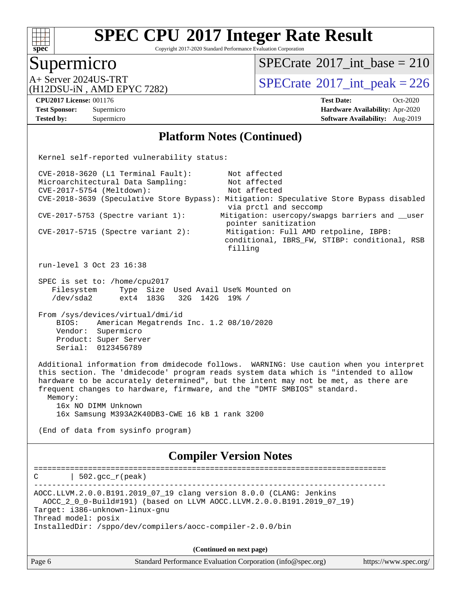

Copyright 2017-2020 Standard Performance Evaluation Corporation

#### Supermicro

 $SPECrate$ <sup>®</sup>[2017\\_int\\_base =](http://www.spec.org/auto/cpu2017/Docs/result-fields.html#SPECrate2017intbase) 210

(H12DSU-iN , AMD EPYC 7282)

A+ Server 2024US-TRT  $SPECTate$ <sup>®</sup>[2017\\_int\\_peak = 2](http://www.spec.org/auto/cpu2017/Docs/result-fields.html#SPECrate2017intpeak)26

**[Tested by:](http://www.spec.org/auto/cpu2017/Docs/result-fields.html#Testedby)** Supermicro **Supermicro [Software Availability:](http://www.spec.org/auto/cpu2017/Docs/result-fields.html#SoftwareAvailability)** Aug-2019

**[CPU2017 License:](http://www.spec.org/auto/cpu2017/Docs/result-fields.html#CPU2017License)** 001176 **[Test Date:](http://www.spec.org/auto/cpu2017/Docs/result-fields.html#TestDate)** Oct-2020 **[Test Sponsor:](http://www.spec.org/auto/cpu2017/Docs/result-fields.html#TestSponsor)** Supermicro **[Hardware Availability:](http://www.spec.org/auto/cpu2017/Docs/result-fields.html#HardwareAvailability)** Apr-2020

#### **[Platform Notes \(Continued\)](http://www.spec.org/auto/cpu2017/Docs/result-fields.html#PlatformNotes)**

Page 6 Standard Performance Evaluation Corporation [\(info@spec.org\)](mailto:info@spec.org) <https://www.spec.org/> Kernel self-reported vulnerability status: CVE-2018-3620 (L1 Terminal Fault): Not affected Microarchitectural Data Sampling: Not affected CVE-2017-5754 (Meltdown): Not affected CVE-2018-3639 (Speculative Store Bypass): Mitigation: Speculative Store Bypass disabled via prctl and seccomp CVE-2017-5753 (Spectre variant 1): Mitigation: usercopy/swapgs barriers and \_\_user pointer sanitization CVE-2017-5715 (Spectre variant 2): Mitigation: Full AMD retpoline, IBPB: conditional, IBRS\_FW, STIBP: conditional, RSB filling run-level 3 Oct 23 16:38 SPEC is set to: /home/cpu2017 Filesystem Type Size Used Avail Use% Mounted on /dev/sda2 ext4 183G 32G 142G 19% / From /sys/devices/virtual/dmi/id BIOS: American Megatrends Inc. 1.2 08/10/2020 Vendor: Supermicro Product: Super Server Serial: 0123456789 Additional information from dmidecode follows. WARNING: Use caution when you interpret this section. The 'dmidecode' program reads system data which is "intended to allow hardware to be accurately determined", but the intent may not be met, as there are frequent changes to hardware, firmware, and the "DMTF SMBIOS" standard. Memory: 16x NO DIMM Unknown 16x Samsung M393A2K40DB3-CWE 16 kB 1 rank 3200 (End of data from sysinfo program) **[Compiler Version Notes](http://www.spec.org/auto/cpu2017/Docs/result-fields.html#CompilerVersionNotes)** ==============================================================================  $C \qquad | \quad 502.\text{gcc\_r}(\text{peak})$ ------------------------------------------------------------------------------ AOCC.LLVM.2.0.0.B191.2019\_07\_19 clang version 8.0.0 (CLANG: Jenkins AOCC\_2\_0\_0-Build#191) (based on LLVM AOCC.LLVM.2.0.0.B191.2019\_07\_19) Target: i386-unknown-linux-gnu Thread model: posix InstalledDir: /sppo/dev/compilers/aocc-compiler-2.0.0/bin **(Continued on next page)**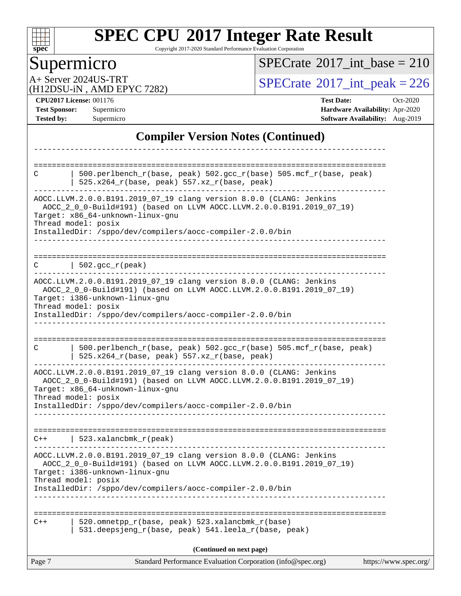

Copyright 2017-2020 Standard Performance Evaluation Corporation

# **Supermicro**

 $SPECrate$ <sup>®</sup>[2017\\_int\\_base =](http://www.spec.org/auto/cpu2017/Docs/result-fields.html#SPECrate2017intbase) 210

(H12DSU-iN , AMD EPYC 7282)

A+ Server 2024US-TRT<br>
(H12DSU-iN AMD EPYC 7282) [SPECrate](http://www.spec.org/auto/cpu2017/Docs/result-fields.html#SPECrate2017intpeak)®[2017\\_int\\_peak = 2](http://www.spec.org/auto/cpu2017/Docs/result-fields.html#SPECrate2017intpeak)26

**[CPU2017 License:](http://www.spec.org/auto/cpu2017/Docs/result-fields.html#CPU2017License)** 001176 **[Test Date:](http://www.spec.org/auto/cpu2017/Docs/result-fields.html#TestDate)** Oct-2020 **[Test Sponsor:](http://www.spec.org/auto/cpu2017/Docs/result-fields.html#TestSponsor)** Supermicro **[Hardware Availability:](http://www.spec.org/auto/cpu2017/Docs/result-fields.html#HardwareAvailability)** Apr-2020 **[Tested by:](http://www.spec.org/auto/cpu2017/Docs/result-fields.html#Testedby)** Supermicro **Supermicro [Software Availability:](http://www.spec.org/auto/cpu2017/Docs/result-fields.html#SoftwareAvailability)** Aug-2019

#### **[Compiler Version Notes \(Continued\)](http://www.spec.org/auto/cpu2017/Docs/result-fields.html#CompilerVersionNotes)**

| C      | 500.perlbench_r(base, peak) 502.gcc_r(base) 505.mcf_r(base, peak)<br>525.x264_r(base, peak) 557.xz_r(base, peak)                                                                                        |                       |
|--------|---------------------------------------------------------------------------------------------------------------------------------------------------------------------------------------------------------|-----------------------|
|        | AOCC.LLVM.2.0.0.B191.2019_07_19 clang version 8.0.0 (CLANG: Jenkins<br>AOCC_2_0_0-Build#191) (based on LLVM AOCC.LLVM.2.0.0.B191.2019_07_19)<br>Target: x86_64-unknown-linux-gnu<br>Thread model: posix |                       |
|        | InstalledDir: /sppo/dev/compilers/aocc-compiler-2.0.0/bin                                                                                                                                               |                       |
| C      | $  502.\text{gcc_r(peak)}$                                                                                                                                                                              |                       |
|        | AOCC.LLVM.2.0.0.B191.2019_07_19 clang version 8.0.0 (CLANG: Jenkins<br>AOCC_2_0_0-Build#191) (based on LLVM AOCC.LLVM.2.0.0.B191.2019_07_19)<br>Target: i386-unknown-linux-gnu<br>Thread model: posix   |                       |
|        | InstalledDir: /sppo/dev/compilers/aocc-compiler-2.0.0/bin                                                                                                                                               |                       |
| C      | 500.perlbench_r(base, peak) 502.gcc_r(base) 505.mcf_r(base, peak)<br>525.x264_r(base, peak) 557.xz_r(base, peak)                                                                                        |                       |
|        | AOCC.LLVM.2.0.0.B191.2019_07_19 clang version 8.0.0 (CLANG: Jenkins<br>AOCC_2_0_0-Build#191) (based on LLVM AOCC.LLVM.2.0.0.B191.2019_07_19)<br>Target: x86_64-unknown-linux-gnu<br>Thread model: posix |                       |
|        | InstalledDir: /sppo/dev/compilers/aocc-compiler-2.0.0/bin                                                                                                                                               |                       |
| $C++$  | 523.xalancbmk_r(peak)                                                                                                                                                                                   |                       |
|        | AOCC.LLVM.2.0.0.B191.2019_07_19 clang version 8.0.0 (CLANG: Jenkins<br>AOCC_2_0_0-Build#191) (based on LLVM AOCC.LLVM.2.0.0.B191.2019_07_19)<br>Target: i386-unknown-linux-gnu<br>Thread model: posix   |                       |
|        | InstalledDir: /sppo/dev/compilers/aocc-compiler-2.0.0/bin                                                                                                                                               |                       |
| $C++$  | 520.omnetpp_r(base, peak) 523.xalancbmk_r(base)<br>531.deepsjeng_r(base, peak) 541.leela_r(base, peak)                                                                                                  |                       |
|        | (Continued on next page)                                                                                                                                                                                |                       |
| Page 7 | Standard Performance Evaluation Corporation (info@spec.org)                                                                                                                                             | https://www.spec.org/ |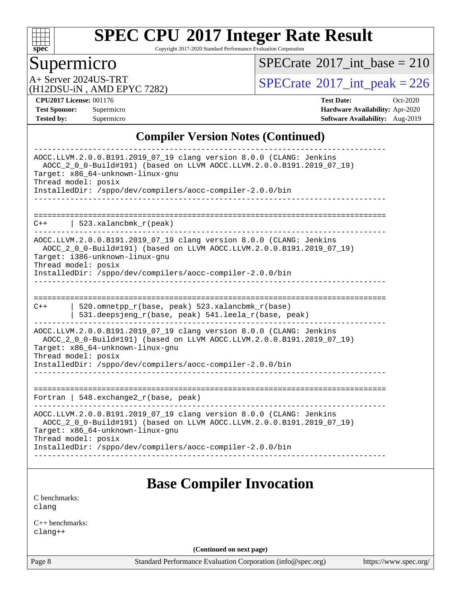

Copyright 2017-2020 Standard Performance Evaluation Corporation

#### Supermicro

 $SPECrate$ <sup>®</sup>[2017\\_int\\_base =](http://www.spec.org/auto/cpu2017/Docs/result-fields.html#SPECrate2017intbase) 210

(H12DSU-iN , AMD EPYC 7282)

A+ Server 2024US-TRT<br>
(H12DSU-iN AMD EPYC 7282) [SPECrate](http://www.spec.org/auto/cpu2017/Docs/result-fields.html#SPECrate2017intpeak)®[2017\\_int\\_peak = 2](http://www.spec.org/auto/cpu2017/Docs/result-fields.html#SPECrate2017intpeak)26

**[CPU2017 License:](http://www.spec.org/auto/cpu2017/Docs/result-fields.html#CPU2017License)** 001176 **[Test Date:](http://www.spec.org/auto/cpu2017/Docs/result-fields.html#TestDate)** Oct-2020 **[Test Sponsor:](http://www.spec.org/auto/cpu2017/Docs/result-fields.html#TestSponsor)** Supermicro **[Hardware Availability:](http://www.spec.org/auto/cpu2017/Docs/result-fields.html#HardwareAvailability)** Apr-2020 **[Tested by:](http://www.spec.org/auto/cpu2017/Docs/result-fields.html#Testedby)** Supermicro **[Software Availability:](http://www.spec.org/auto/cpu2017/Docs/result-fields.html#SoftwareAvailability)** Aug-2019

#### **[Compiler Version Notes \(Continued\)](http://www.spec.org/auto/cpu2017/Docs/result-fields.html#CompilerVersionNotes)**

| AOCC.LLVM.2.0.0.B191.2019_07_19 clang version 8.0.0 (CLANG: Jenkins<br>AOCC_2_0_0-Build#191) (based on LLVM AOCC.LLVM.2.0.0.B191.2019_07_19)<br>Target: x86 64-unknown-linux-gnu<br>Thread model: posix<br>InstalledDir: /sppo/dev/compilers/aocc-compiler-2.0.0/bin |
|----------------------------------------------------------------------------------------------------------------------------------------------------------------------------------------------------------------------------------------------------------------------|
|                                                                                                                                                                                                                                                                      |
| 523.xalancbmk_r(peak)<br>$C++$                                                                                                                                                                                                                                       |
| AOCC.LLVM.2.0.0.B191.2019_07_19 clang version 8.0.0 (CLANG: Jenkins<br>AOCC_2_0_0-Build#191) (based on LLVM AOCC.LLVM.2.0.0.B191.2019_07_19)<br>Target: i386-unknown-linux-gnu<br>Thread model: posix                                                                |
| InstalledDir: /sppo/dev/compilers/aocc-compiler-2.0.0/bin                                                                                                                                                                                                            |
|                                                                                                                                                                                                                                                                      |
| -----------------------------<br>520.omnetpp_r(base, peak) 523.xalancbmk_r(base)<br>$C++$<br>531.deepsjeng_r(base, peak) 541.leela_r(base, peak)                                                                                                                     |
| AOCC.LLVM.2.0.0.B191.2019_07_19 clang version 8.0.0 (CLANG: Jenkins<br>AOCC 2 0 0-Build#191) (based on LLVM AOCC.LLVM.2.0.0.B191.2019 07 19)<br>Target: x86_64-unknown-linux-gnu<br>Thread model: posix                                                              |
| InstalledDir: /sppo/dev/compilers/aocc-compiler-2.0.0/bin                                                                                                                                                                                                            |
|                                                                                                                                                                                                                                                                      |
|                                                                                                                                                                                                                                                                      |
| Fortran   548. exchange $2r(base, peak)$                                                                                                                                                                                                                             |
| AOCC.LLVM.2.0.0.B191.2019_07_19 clang version 8.0.0 (CLANG: Jenkins<br>AOCC_2_0_0-Build#191) (based on LLVM AOCC.LLVM.2.0.0.B191.2019_07_19)<br>Target: x86 64-unknown-linux-gnu<br>Thread model: posix                                                              |
| InstalledDir: /sppo/dev/compilers/aocc-compiler-2.0.0/bin                                                                                                                                                                                                            |
|                                                                                                                                                                                                                                                                      |
|                                                                                                                                                                                                                                                                      |
|                                                                                                                                                                                                                                                                      |

#### **[Base Compiler Invocation](http://www.spec.org/auto/cpu2017/Docs/result-fields.html#BaseCompilerInvocation)**

[C benchmarks](http://www.spec.org/auto/cpu2017/Docs/result-fields.html#Cbenchmarks): [clang](http://www.spec.org/cpu2017/results/res2020q4/cpu2017-20201027-24305.flags.html#user_CCbase_clang-c)

[C++ benchmarks:](http://www.spec.org/auto/cpu2017/Docs/result-fields.html#CXXbenchmarks) [clang++](http://www.spec.org/cpu2017/results/res2020q4/cpu2017-20201027-24305.flags.html#user_CXXbase_clang-cpp)

**(Continued on next page)**

Page 8 Standard Performance Evaluation Corporation [\(info@spec.org\)](mailto:info@spec.org) <https://www.spec.org/>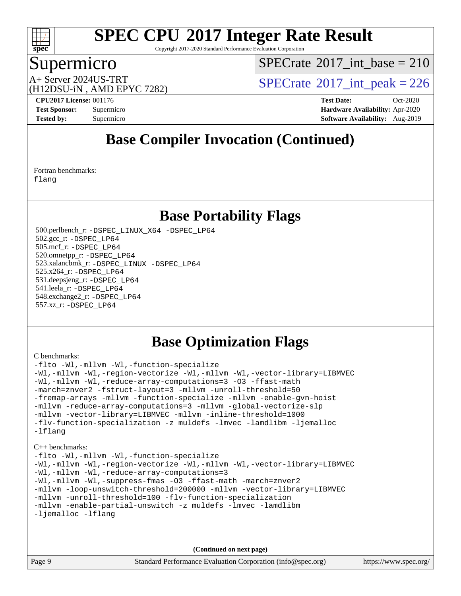

Copyright 2017-2020 Standard Performance Evaluation Corporation

#### Supermicro

 $SPECTate$ <sup>®</sup>[2017\\_int\\_base =](http://www.spec.org/auto/cpu2017/Docs/result-fields.html#SPECrate2017intbase) 210

(H12DSU-iN , AMD EPYC 7282)

A+ Server 2024US-TRT  $SPECTate$ <sup>®</sup>[2017\\_int\\_peak = 2](http://www.spec.org/auto/cpu2017/Docs/result-fields.html#SPECrate2017intpeak)26

**[CPU2017 License:](http://www.spec.org/auto/cpu2017/Docs/result-fields.html#CPU2017License)** 001176 **[Test Date:](http://www.spec.org/auto/cpu2017/Docs/result-fields.html#TestDate)** Oct-2020 **[Test Sponsor:](http://www.spec.org/auto/cpu2017/Docs/result-fields.html#TestSponsor)** Supermicro **[Hardware Availability:](http://www.spec.org/auto/cpu2017/Docs/result-fields.html#HardwareAvailability)** Apr-2020 **[Tested by:](http://www.spec.org/auto/cpu2017/Docs/result-fields.html#Testedby)** Supermicro **[Software Availability:](http://www.spec.org/auto/cpu2017/Docs/result-fields.html#SoftwareAvailability)** Aug-2019

#### **[Base Compiler Invocation \(Continued\)](http://www.spec.org/auto/cpu2017/Docs/result-fields.html#BaseCompilerInvocation)**

[Fortran benchmarks](http://www.spec.org/auto/cpu2017/Docs/result-fields.html#Fortranbenchmarks): [flang](http://www.spec.org/cpu2017/results/res2020q4/cpu2017-20201027-24305.flags.html#user_FCbase_flang)

#### **[Base Portability Flags](http://www.spec.org/auto/cpu2017/Docs/result-fields.html#BasePortabilityFlags)**

 500.perlbench\_r: [-DSPEC\\_LINUX\\_X64](http://www.spec.org/cpu2017/results/res2020q4/cpu2017-20201027-24305.flags.html#b500.perlbench_r_basePORTABILITY_DSPEC_LINUX_X64) [-DSPEC\\_LP64](http://www.spec.org/cpu2017/results/res2020q4/cpu2017-20201027-24305.flags.html#b500.perlbench_r_baseEXTRA_PORTABILITY_DSPEC_LP64) 502.gcc\_r: [-DSPEC\\_LP64](http://www.spec.org/cpu2017/results/res2020q4/cpu2017-20201027-24305.flags.html#suite_baseEXTRA_PORTABILITY502_gcc_r_DSPEC_LP64) 505.mcf\_r: [-DSPEC\\_LP64](http://www.spec.org/cpu2017/results/res2020q4/cpu2017-20201027-24305.flags.html#suite_baseEXTRA_PORTABILITY505_mcf_r_DSPEC_LP64) 520.omnetpp\_r: [-DSPEC\\_LP64](http://www.spec.org/cpu2017/results/res2020q4/cpu2017-20201027-24305.flags.html#suite_baseEXTRA_PORTABILITY520_omnetpp_r_DSPEC_LP64) 523.xalancbmk\_r: [-DSPEC\\_LINUX](http://www.spec.org/cpu2017/results/res2020q4/cpu2017-20201027-24305.flags.html#b523.xalancbmk_r_basePORTABILITY_DSPEC_LINUX) [-DSPEC\\_LP64](http://www.spec.org/cpu2017/results/res2020q4/cpu2017-20201027-24305.flags.html#suite_baseEXTRA_PORTABILITY523_xalancbmk_r_DSPEC_LP64) 525.x264\_r: [-DSPEC\\_LP64](http://www.spec.org/cpu2017/results/res2020q4/cpu2017-20201027-24305.flags.html#suite_baseEXTRA_PORTABILITY525_x264_r_DSPEC_LP64) 531.deepsjeng\_r: [-DSPEC\\_LP64](http://www.spec.org/cpu2017/results/res2020q4/cpu2017-20201027-24305.flags.html#suite_baseEXTRA_PORTABILITY531_deepsjeng_r_DSPEC_LP64) 541.leela\_r: [-DSPEC\\_LP64](http://www.spec.org/cpu2017/results/res2020q4/cpu2017-20201027-24305.flags.html#suite_baseEXTRA_PORTABILITY541_leela_r_DSPEC_LP64) 548.exchange2\_r: [-DSPEC\\_LP64](http://www.spec.org/cpu2017/results/res2020q4/cpu2017-20201027-24305.flags.html#suite_baseEXTRA_PORTABILITY548_exchange2_r_DSPEC_LP64) 557.xz\_r: [-DSPEC\\_LP64](http://www.spec.org/cpu2017/results/res2020q4/cpu2017-20201027-24305.flags.html#suite_baseEXTRA_PORTABILITY557_xz_r_DSPEC_LP64)

#### **[Base Optimization Flags](http://www.spec.org/auto/cpu2017/Docs/result-fields.html#BaseOptimizationFlags)**

[C benchmarks](http://www.spec.org/auto/cpu2017/Docs/result-fields.html#Cbenchmarks):

[-flto](http://www.spec.org/cpu2017/results/res2020q4/cpu2017-20201027-24305.flags.html#user_CCbase_aocc-flto) [-Wl,-mllvm -Wl,-function-specialize](http://www.spec.org/cpu2017/results/res2020q4/cpu2017-20201027-24305.flags.html#user_CCbase_F-function-specialize_7e7e661e57922243ee67c9a1251cb8910e607325179a0ce7f2884e09a6f5d4a5ef0ae4f37e8a2a11c95fc48e931f06dc2b6016f14b511fcb441e048bef1b065a) [-Wl,-mllvm -Wl,-region-vectorize](http://www.spec.org/cpu2017/results/res2020q4/cpu2017-20201027-24305.flags.html#user_CCbase_F-region-vectorize_fb6c6b5aa293c88efc6c7c2b52b20755e943585b1fe8658c35afef78727fff56e1a56891413c30e36b8e2a6f9a71126986319243e80eb6110b78b288f533c52b) [-Wl,-mllvm -Wl,-vector-library=LIBMVEC](http://www.spec.org/cpu2017/results/res2020q4/cpu2017-20201027-24305.flags.html#user_CCbase_F-use-vector-library_0a14b27fae317f283640384a31f7bfcc2bd4c1d0b5cfc618a3a430800c9b20217b00f61303eff223a3251b4f06ffbc9739dc5296db9d1fbb9ad24a3939d86d66) [-Wl,-mllvm -Wl,-reduce-array-computations=3](http://www.spec.org/cpu2017/results/res2020q4/cpu2017-20201027-24305.flags.html#user_CCbase_F-reduce-array-computations_b882aefe7a5dda4e33149f6299762b9a720dace3e498e13756f4c04e5a19edf5315c1f3993de2e61ec41e8c206231f84e05da7040e1bb5d69ba27d10a12507e4) [-O3](http://www.spec.org/cpu2017/results/res2020q4/cpu2017-20201027-24305.flags.html#user_CCbase_F-O3) [-ffast-math](http://www.spec.org/cpu2017/results/res2020q4/cpu2017-20201027-24305.flags.html#user_CCbase_aocc-ffast-math) [-march=znver2](http://www.spec.org/cpu2017/results/res2020q4/cpu2017-20201027-24305.flags.html#user_CCbase_aocc-march_3e2e19cff2eeef60c5d90b059483627c9ea47eca6d66670dbd53f9185f6439e27eb5e104cf773e9e8ab18c8842ce63e461a3e948d0214bd567ef3ade411bf467) [-fstruct-layout=3](http://www.spec.org/cpu2017/results/res2020q4/cpu2017-20201027-24305.flags.html#user_CCbase_F-struct-layout) [-mllvm -unroll-threshold=50](http://www.spec.org/cpu2017/results/res2020q4/cpu2017-20201027-24305.flags.html#user_CCbase_F-unroll-threshold_458874500b2c105d6d5cb4d7a611c40e2b16e9e3d26b355fea72d644c3673b4de4b3932662f0ed3dbec75c491a13da2d2ca81180bd779dc531083ef1e1e549dc) [-fremap-arrays](http://www.spec.org/cpu2017/results/res2020q4/cpu2017-20201027-24305.flags.html#user_CCbase_F-fremap-arrays) [-mllvm -function-specialize](http://www.spec.org/cpu2017/results/res2020q4/cpu2017-20201027-24305.flags.html#user_CCbase_F-function-specialize_233b3bdba86027f1b094368157e481c5bc59f40286dc25bfadc1858dcd5745c24fd30d5f188710db7fea399bcc9f44a80b3ce3aacc70a8870250c3ae5e1f35b8) [-mllvm -enable-gvn-hoist](http://www.spec.org/cpu2017/results/res2020q4/cpu2017-20201027-24305.flags.html#user_CCbase_F-enable-gvn-hoist_e5856354646dd6ca1333a0ad99b817e4cf8932b91b82809fd8fd47ceff7b22a89eba5c98fd3e3fa5200368fd772cec3dd56abc3c8f7b655a71b9f9848dddedd5) [-mllvm -reduce-array-computations=3](http://www.spec.org/cpu2017/results/res2020q4/cpu2017-20201027-24305.flags.html#user_CCbase_F-reduce-array-computations_aceadb8604558b566e0e3a0d7a3c1533923dd1fa0889614e16288028922629a28d5695c24d3b3be4306b1e311c54317dfffe3a2e57fbcaabc737a1798de39145) [-mllvm -global-vectorize-slp](http://www.spec.org/cpu2017/results/res2020q4/cpu2017-20201027-24305.flags.html#user_CCbase_F-global-vectorize-slp_a3935e8627af4ced727033b1ffd4db27f4d541a363d28d82bf4c2925fb3a0fd4115d6e42d13a2829f9e024d6608eb67a85cb49770f2da5c5ac8dbc737afad603) [-mllvm -vector-library=LIBMVEC](http://www.spec.org/cpu2017/results/res2020q4/cpu2017-20201027-24305.flags.html#user_CCbase_F-use-vector-library_e584e20b4f7ec96aa109254b65d8e01d864f3d68580371b9d93ed7c338191d4cfce20c3c864632264effc6bbe4c7c38153d02096a342ee92501c4a53204a7871) [-mllvm -inline-threshold=1000](http://www.spec.org/cpu2017/results/res2020q4/cpu2017-20201027-24305.flags.html#user_CCbase_dragonegg-llvm-inline-threshold_b7832241b0a6397e4ecdbaf0eb7defdc10f885c2a282fa3240fdc99844d543fda39cf8a4a9dccf68cf19b5438ac3b455264f478df15da0f4988afa40d8243bab) [-flv-function-specialization](http://www.spec.org/cpu2017/results/res2020q4/cpu2017-20201027-24305.flags.html#user_CCbase_F-flv-function-specialization) [-z muldefs](http://www.spec.org/cpu2017/results/res2020q4/cpu2017-20201027-24305.flags.html#user_CCbase_aocc-muldefs) [-lmvec](http://www.spec.org/cpu2017/results/res2020q4/cpu2017-20201027-24305.flags.html#user_CCbase_F-lmvec) [-lamdlibm](http://www.spec.org/cpu2017/results/res2020q4/cpu2017-20201027-24305.flags.html#user_CCbase_F-lamdlibm) [-ljemalloc](http://www.spec.org/cpu2017/results/res2020q4/cpu2017-20201027-24305.flags.html#user_CCbase_jemalloc-lib) [-lflang](http://www.spec.org/cpu2017/results/res2020q4/cpu2017-20201027-24305.flags.html#user_CCbase_F-lflang)

[C++ benchmarks:](http://www.spec.org/auto/cpu2017/Docs/result-fields.html#CXXbenchmarks)

```
-flto -Wl,-mllvm -Wl,-function-specialize
-Wl,-mllvm -Wl,-region-vectorize-Wl,-mllvm -Wl,-vector-library=LIBMVEC
-Wl,-mllvm -Wl,-reduce-array-computations=3
-Wl,-mllvm -Wl,-suppress-fmas -O3 -ffast-math -march=znver2
-mllvm -loop-unswitch-threshold=200000 -mllvm -vector-library=LIBMVEC
-mllvm -unroll-threshold=100 -flv-function-specialization
-mllvm -enable-partial-unswitch -z muldefs -lmvec -lamdlibm
-ljemalloc -lflang
```
**(Continued on next page)**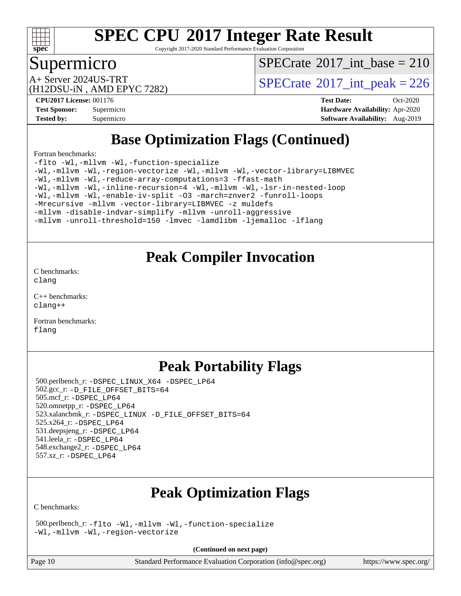

Copyright 2017-2020 Standard Performance Evaluation Corporation

#### Supermicro

 $SPECTate$ <sup>®</sup>[2017\\_int\\_base =](http://www.spec.org/auto/cpu2017/Docs/result-fields.html#SPECrate2017intbase) 210

(H12DSU-iN , AMD EPYC 7282)

A+ Server 2024US-TRT  $SPECTate$ <sup>®</sup>[2017\\_int\\_peak = 2](http://www.spec.org/auto/cpu2017/Docs/result-fields.html#SPECrate2017intpeak)26

**[CPU2017 License:](http://www.spec.org/auto/cpu2017/Docs/result-fields.html#CPU2017License)** 001176 **[Test Date:](http://www.spec.org/auto/cpu2017/Docs/result-fields.html#TestDate)** Oct-2020 **[Test Sponsor:](http://www.spec.org/auto/cpu2017/Docs/result-fields.html#TestSponsor)** Supermicro **[Hardware Availability:](http://www.spec.org/auto/cpu2017/Docs/result-fields.html#HardwareAvailability)** Apr-2020 **[Tested by:](http://www.spec.org/auto/cpu2017/Docs/result-fields.html#Testedby)** Supermicro **[Software Availability:](http://www.spec.org/auto/cpu2017/Docs/result-fields.html#SoftwareAvailability)** Aug-2019

#### **[Base Optimization Flags \(Continued\)](http://www.spec.org/auto/cpu2017/Docs/result-fields.html#BaseOptimizationFlags)**

[Fortran benchmarks](http://www.spec.org/auto/cpu2017/Docs/result-fields.html#Fortranbenchmarks):

[-flto](http://www.spec.org/cpu2017/results/res2020q4/cpu2017-20201027-24305.flags.html#user_FCbase_aocc-flto) [-Wl,-mllvm -Wl,-function-specialize](http://www.spec.org/cpu2017/results/res2020q4/cpu2017-20201027-24305.flags.html#user_FCbase_F-function-specialize_7e7e661e57922243ee67c9a1251cb8910e607325179a0ce7f2884e09a6f5d4a5ef0ae4f37e8a2a11c95fc48e931f06dc2b6016f14b511fcb441e048bef1b065a) [-Wl,-mllvm -Wl,-region-vectorize](http://www.spec.org/cpu2017/results/res2020q4/cpu2017-20201027-24305.flags.html#user_FCbase_F-region-vectorize_fb6c6b5aa293c88efc6c7c2b52b20755e943585b1fe8658c35afef78727fff56e1a56891413c30e36b8e2a6f9a71126986319243e80eb6110b78b288f533c52b) [-Wl,-mllvm -Wl,-vector-library=LIBMVEC](http://www.spec.org/cpu2017/results/res2020q4/cpu2017-20201027-24305.flags.html#user_FCbase_F-use-vector-library_0a14b27fae317f283640384a31f7bfcc2bd4c1d0b5cfc618a3a430800c9b20217b00f61303eff223a3251b4f06ffbc9739dc5296db9d1fbb9ad24a3939d86d66) [-Wl,-mllvm -Wl,-reduce-array-computations=3](http://www.spec.org/cpu2017/results/res2020q4/cpu2017-20201027-24305.flags.html#user_FCbase_F-reduce-array-computations_b882aefe7a5dda4e33149f6299762b9a720dace3e498e13756f4c04e5a19edf5315c1f3993de2e61ec41e8c206231f84e05da7040e1bb5d69ba27d10a12507e4) [-ffast-math](http://www.spec.org/cpu2017/results/res2020q4/cpu2017-20201027-24305.flags.html#user_FCbase_aocc-ffast-math) [-Wl,-mllvm -Wl,-inline-recursion=4](http://www.spec.org/cpu2017/results/res2020q4/cpu2017-20201027-24305.flags.html#user_FCbase_F-inline-recursion) [-Wl,-mllvm -Wl,-lsr-in-nested-loop](http://www.spec.org/cpu2017/results/res2020q4/cpu2017-20201027-24305.flags.html#user_FCbase_F-lsr-in-nested-loop_de4bc7331d07d857538198a5cc9592bc905d78a18065d49b9acfd1f777ae9eca5716aaa3e0e674a48e2e5ec9dad184ee0c682635ad7eff4181b32ab748bf2f49) [-Wl,-mllvm -Wl,-enable-iv-split](http://www.spec.org/cpu2017/results/res2020q4/cpu2017-20201027-24305.flags.html#user_FCbase_F-enable-iv-split_efc18925ba63acc4bb74cb6e43d0987b7b3cf01924ad910e2a6edbbbd0f8b582e31f1ee7ccede3f08176ef2ad41c69507170fb32301bf478d45ceb38dfb89c5e) [-O3](http://www.spec.org/cpu2017/results/res2020q4/cpu2017-20201027-24305.flags.html#user_FCbase_F-O3) [-march=znver2](http://www.spec.org/cpu2017/results/res2020q4/cpu2017-20201027-24305.flags.html#user_FCbase_aocc-march_3e2e19cff2eeef60c5d90b059483627c9ea47eca6d66670dbd53f9185f6439e27eb5e104cf773e9e8ab18c8842ce63e461a3e948d0214bd567ef3ade411bf467) [-funroll-loops](http://www.spec.org/cpu2017/results/res2020q4/cpu2017-20201027-24305.flags.html#user_FCbase_aocc-unroll-loops) [-Mrecursive](http://www.spec.org/cpu2017/results/res2020q4/cpu2017-20201027-24305.flags.html#user_FCbase_F-mrecursive_20a145d63f12d5750a899e17d4450b5b8b40330a9bb4af13688ca650e6fb30857bbbe44fb35cdbb895df6e5b2769de0a0d7659f51ff17acfbef6febafec4023f) [-mllvm -vector-library=LIBMVEC](http://www.spec.org/cpu2017/results/res2020q4/cpu2017-20201027-24305.flags.html#user_FCbase_F-use-vector-library_e584e20b4f7ec96aa109254b65d8e01d864f3d68580371b9d93ed7c338191d4cfce20c3c864632264effc6bbe4c7c38153d02096a342ee92501c4a53204a7871) [-z muldefs](http://www.spec.org/cpu2017/results/res2020q4/cpu2017-20201027-24305.flags.html#user_FCbase_aocc-muldefs) [-mllvm -disable-indvar-simplify](http://www.spec.org/cpu2017/results/res2020q4/cpu2017-20201027-24305.flags.html#user_FCbase_F-disable-indvar-simplify_c8d861bf19eba5001219ab52ef051176e06bf3166017d5c1ce87aec66e795c6723d10bf23d5a91730d61ad4b3f566b39dd0a4d6e5b2af269ebae30428a1f3630) [-mllvm -unroll-aggressive](http://www.spec.org/cpu2017/results/res2020q4/cpu2017-20201027-24305.flags.html#user_FCbase_F-unroll-aggressive_a366db20af3fd871754361e6b05945ac700b8c3fc538cc6688c755ae5874c6da3d6f3bb6e8d93320d5094064830fdb2c06064831f0f08d916cd8f333e5dba6d9) [-mllvm -unroll-threshold=150](http://www.spec.org/cpu2017/results/res2020q4/cpu2017-20201027-24305.flags.html#user_FCbase_F-unroll-threshold_3352736ce55666ed13437f5f5fd6693920e68d4dfd26bba42492bb1c46b6d7692ff5ba7bd4d2ebdab48d140ca981a39154ff0664b4d322a66fc3d1aafa4d7ffe) [-lmvec](http://www.spec.org/cpu2017/results/res2020q4/cpu2017-20201027-24305.flags.html#user_FCbase_F-lmvec) [-lamdlibm](http://www.spec.org/cpu2017/results/res2020q4/cpu2017-20201027-24305.flags.html#user_FCbase_F-lamdlibm) [-ljemalloc](http://www.spec.org/cpu2017/results/res2020q4/cpu2017-20201027-24305.flags.html#user_FCbase_jemalloc-lib) [-lflang](http://www.spec.org/cpu2017/results/res2020q4/cpu2017-20201027-24305.flags.html#user_FCbase_F-lflang)

#### **[Peak Compiler Invocation](http://www.spec.org/auto/cpu2017/Docs/result-fields.html#PeakCompilerInvocation)**

[C benchmarks](http://www.spec.org/auto/cpu2017/Docs/result-fields.html#Cbenchmarks): [clang](http://www.spec.org/cpu2017/results/res2020q4/cpu2017-20201027-24305.flags.html#user_CCpeak_clang-c)

[C++ benchmarks:](http://www.spec.org/auto/cpu2017/Docs/result-fields.html#CXXbenchmarks) [clang++](http://www.spec.org/cpu2017/results/res2020q4/cpu2017-20201027-24305.flags.html#user_CXXpeak_clang-cpp)

[Fortran benchmarks](http://www.spec.org/auto/cpu2017/Docs/result-fields.html#Fortranbenchmarks): [flang](http://www.spec.org/cpu2017/results/res2020q4/cpu2017-20201027-24305.flags.html#user_FCpeak_flang)

#### **[Peak Portability Flags](http://www.spec.org/auto/cpu2017/Docs/result-fields.html#PeakPortabilityFlags)**

 500.perlbench\_r: [-DSPEC\\_LINUX\\_X64](http://www.spec.org/cpu2017/results/res2020q4/cpu2017-20201027-24305.flags.html#b500.perlbench_r_peakPORTABILITY_DSPEC_LINUX_X64) [-DSPEC\\_LP64](http://www.spec.org/cpu2017/results/res2020q4/cpu2017-20201027-24305.flags.html#b500.perlbench_r_peakEXTRA_PORTABILITY_DSPEC_LP64) 502.gcc\_r: [-D\\_FILE\\_OFFSET\\_BITS=64](http://www.spec.org/cpu2017/results/res2020q4/cpu2017-20201027-24305.flags.html#user_peakEXTRA_PORTABILITY502_gcc_r_F-D_FILE_OFFSET_BITS_5ae949a99b284ddf4e95728d47cb0843d81b2eb0e18bdfe74bbf0f61d0b064f4bda2f10ea5eb90e1dcab0e84dbc592acfc5018bc955c18609f94ddb8d550002c) 505.mcf\_r: [-DSPEC\\_LP64](http://www.spec.org/cpu2017/results/res2020q4/cpu2017-20201027-24305.flags.html#suite_peakEXTRA_PORTABILITY505_mcf_r_DSPEC_LP64) 520.omnetpp\_r: [-DSPEC\\_LP64](http://www.spec.org/cpu2017/results/res2020q4/cpu2017-20201027-24305.flags.html#suite_peakEXTRA_PORTABILITY520_omnetpp_r_DSPEC_LP64) 523.xalancbmk\_r: [-DSPEC\\_LINUX](http://www.spec.org/cpu2017/results/res2020q4/cpu2017-20201027-24305.flags.html#b523.xalancbmk_r_peakPORTABILITY_DSPEC_LINUX) [-D\\_FILE\\_OFFSET\\_BITS=64](http://www.spec.org/cpu2017/results/res2020q4/cpu2017-20201027-24305.flags.html#user_peakEXTRA_PORTABILITY523_xalancbmk_r_F-D_FILE_OFFSET_BITS_5ae949a99b284ddf4e95728d47cb0843d81b2eb0e18bdfe74bbf0f61d0b064f4bda2f10ea5eb90e1dcab0e84dbc592acfc5018bc955c18609f94ddb8d550002c) 525.x264\_r: [-DSPEC\\_LP64](http://www.spec.org/cpu2017/results/res2020q4/cpu2017-20201027-24305.flags.html#suite_peakEXTRA_PORTABILITY525_x264_r_DSPEC_LP64) 531.deepsjeng\_r: [-DSPEC\\_LP64](http://www.spec.org/cpu2017/results/res2020q4/cpu2017-20201027-24305.flags.html#suite_peakEXTRA_PORTABILITY531_deepsjeng_r_DSPEC_LP64) 541.leela\_r: [-DSPEC\\_LP64](http://www.spec.org/cpu2017/results/res2020q4/cpu2017-20201027-24305.flags.html#suite_peakEXTRA_PORTABILITY541_leela_r_DSPEC_LP64) 548.exchange2\_r: [-DSPEC\\_LP64](http://www.spec.org/cpu2017/results/res2020q4/cpu2017-20201027-24305.flags.html#suite_peakEXTRA_PORTABILITY548_exchange2_r_DSPEC_LP64) 557.xz\_r: [-DSPEC\\_LP64](http://www.spec.org/cpu2017/results/res2020q4/cpu2017-20201027-24305.flags.html#suite_peakEXTRA_PORTABILITY557_xz_r_DSPEC_LP64)

### **[Peak Optimization Flags](http://www.spec.org/auto/cpu2017/Docs/result-fields.html#PeakOptimizationFlags)**

[C benchmarks](http://www.spec.org/auto/cpu2017/Docs/result-fields.html#Cbenchmarks):

 500.perlbench\_r: [-flto](http://www.spec.org/cpu2017/results/res2020q4/cpu2017-20201027-24305.flags.html#user_peakCOPTIMIZELDFLAGS500_perlbench_r_aocc-flto) [-Wl,-mllvm -Wl,-function-specialize](http://www.spec.org/cpu2017/results/res2020q4/cpu2017-20201027-24305.flags.html#user_peakLDFLAGS500_perlbench_r_F-function-specialize_7e7e661e57922243ee67c9a1251cb8910e607325179a0ce7f2884e09a6f5d4a5ef0ae4f37e8a2a11c95fc48e931f06dc2b6016f14b511fcb441e048bef1b065a) [-Wl,-mllvm -Wl,-region-vectorize](http://www.spec.org/cpu2017/results/res2020q4/cpu2017-20201027-24305.flags.html#user_peakLDFLAGS500_perlbench_r_F-region-vectorize_fb6c6b5aa293c88efc6c7c2b52b20755e943585b1fe8658c35afef78727fff56e1a56891413c30e36b8e2a6f9a71126986319243e80eb6110b78b288f533c52b)

**(Continued on next page)**

Page 10 Standard Performance Evaluation Corporation [\(info@spec.org\)](mailto:info@spec.org) <https://www.spec.org/>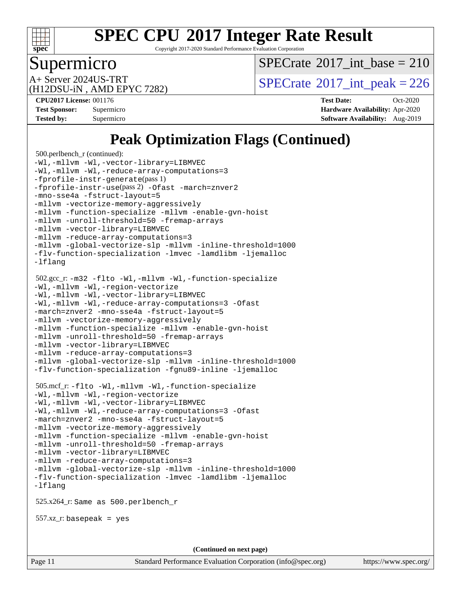

Copyright 2017-2020 Standard Performance Evaluation Corporation

#### Supermicro

 $SPECTate$ <sup>®</sup>[2017\\_int\\_base =](http://www.spec.org/auto/cpu2017/Docs/result-fields.html#SPECrate2017intbase) 210

(H12DSU-iN , AMD EPYC 7282)

A+ Server 2024US-TRT  $SPECTate$ <sup>®</sup>[2017\\_int\\_peak = 2](http://www.spec.org/auto/cpu2017/Docs/result-fields.html#SPECrate2017intpeak)26

**[CPU2017 License:](http://www.spec.org/auto/cpu2017/Docs/result-fields.html#CPU2017License)** 001176 **[Test Date:](http://www.spec.org/auto/cpu2017/Docs/result-fields.html#TestDate)** Oct-2020 **[Test Sponsor:](http://www.spec.org/auto/cpu2017/Docs/result-fields.html#TestSponsor)** Supermicro **[Hardware Availability:](http://www.spec.org/auto/cpu2017/Docs/result-fields.html#HardwareAvailability)** Apr-2020 **[Tested by:](http://www.spec.org/auto/cpu2017/Docs/result-fields.html#Testedby)** Supermicro **[Software Availability:](http://www.spec.org/auto/cpu2017/Docs/result-fields.html#SoftwareAvailability)** Aug-2019

### **[Peak Optimization Flags \(Continued\)](http://www.spec.org/auto/cpu2017/Docs/result-fields.html#PeakOptimizationFlags)**

```
 500.perlbench_r (continued):
-Wl,-mllvm -Wl,-vector-library=LIBMVEC
-Wl,-mllvm -Wl,-reduce-array-computations=3
-fprofile-instr-generate(pass 1)
-fprofile-instr-use(pass 2) -Ofast -march=znver2
-mno-sse4a -fstruct-layout=5
-mllvm -vectorize-memory-aggressively
-mllvm -function-specialize -mllvm -enable-gvn-hoist
-mllvm -unroll-threshold=50 -fremap-arrays
-mllvm -vector-library=LIBMVEC
-mllvm -reduce-array-computations=3
-mllvm -global-vectorize-slp -mllvm -inline-threshold=1000
-flv-function-specialization -lmvec -lamdlibm -ljemalloc
-lflang
 502.gcc_r: -m32 -flto -Wl,-mllvm -Wl,-function-specialize
-Wl,-mllvm -Wl,-region-vectorize
-Wl,-mllvm -Wl,-vector-library=LIBMVEC
-Wl,-mllvm -Wl,-reduce-array-computations=3 -Ofast
-march=znver2 -mno-sse4a -fstruct-layout=5
-mllvm -vectorize-memory-aggressively
-mllvm -function-specialize -mllvm -enable-gvn-hoist
-mllvm -unroll-threshold=50 -fremap-arrays
-mllvm -vector-library=LIBMVEC
-mllvm -reduce-array-computations=3
-mllvm -global-vectorize-slp -mllvm -inline-threshold=1000
-flv-function-specialization -fgnu89-inline -ljemalloc
 505.mcf_r: -flto -Wl,-mllvm -Wl,-function-specialize
-Wl,-mllvm -Wl,-region-vectorize
-Wl,-mllvm -Wl,-vector-library=LIBMVEC
-Wl,-mllvm -Wl,-reduce-array-computations=3 -Ofast
-march=znver2 -mno-sse4a -fstruct-layout=5
-mllvm -vectorize-memory-aggressively
-mllvm -function-specialize -mllvm -enable-gvn-hoist
-mllvm -unroll-threshold=50 -fremap-arrays
-mllvm -vector-library=LIBMVEC
-mllvm -reduce-array-computations=3
-mllvm -global-vectorize-slp -mllvm -inline-threshold=1000
-flv-function-specialization -lmvec -lamdlibm -ljemalloc
-lflang
 525.x264_r: Same as 500.perlbench_r
 557.xz_r: basepeak = yes
                                    (Continued on next page)
```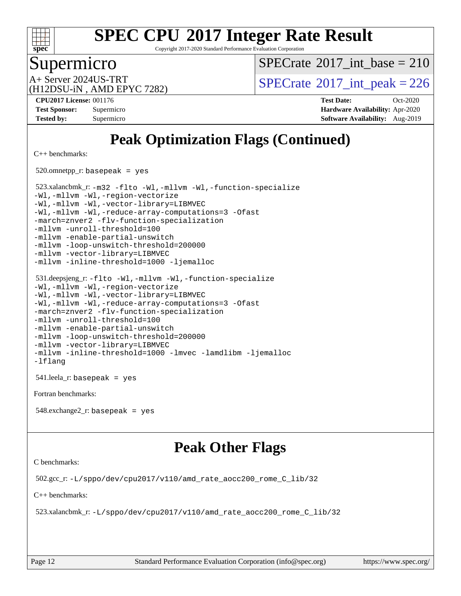

Copyright 2017-2020 Standard Performance Evaluation Corporation

#### Supermicro

 $SPECTate$ <sup>®</sup>[2017\\_int\\_base =](http://www.spec.org/auto/cpu2017/Docs/result-fields.html#SPECrate2017intbase) 210

(H12DSU-iN , AMD EPYC 7282)

A+ Server 2024US-TRT  $SPECTate$ <sup>®</sup>[2017\\_int\\_peak = 2](http://www.spec.org/auto/cpu2017/Docs/result-fields.html#SPECrate2017intpeak)26

**[CPU2017 License:](http://www.spec.org/auto/cpu2017/Docs/result-fields.html#CPU2017License)** 001176 **[Test Date:](http://www.spec.org/auto/cpu2017/Docs/result-fields.html#TestDate)** Oct-2020 **[Test Sponsor:](http://www.spec.org/auto/cpu2017/Docs/result-fields.html#TestSponsor)** Supermicro **[Hardware Availability:](http://www.spec.org/auto/cpu2017/Docs/result-fields.html#HardwareAvailability)** Apr-2020 **[Tested by:](http://www.spec.org/auto/cpu2017/Docs/result-fields.html#Testedby)** Supermicro **[Software Availability:](http://www.spec.org/auto/cpu2017/Docs/result-fields.html#SoftwareAvailability)** Aug-2019

## **[Peak Optimization Flags \(Continued\)](http://www.spec.org/auto/cpu2017/Docs/result-fields.html#PeakOptimizationFlags)**

[C++ benchmarks:](http://www.spec.org/auto/cpu2017/Docs/result-fields.html#CXXbenchmarks)

520.omnetpp\_r: basepeak = yes

 523.xalancbmk\_r: [-m32](http://www.spec.org/cpu2017/results/res2020q4/cpu2017-20201027-24305.flags.html#user_peakCXXLD523_xalancbmk_r_F-m32) [-flto](http://www.spec.org/cpu2017/results/res2020q4/cpu2017-20201027-24305.flags.html#user_peakCXXOPTIMIZELDFLAGS523_xalancbmk_r_aocc-flto) [-Wl,-mllvm -Wl,-function-specialize](http://www.spec.org/cpu2017/results/res2020q4/cpu2017-20201027-24305.flags.html#user_peakLDFLAGS523_xalancbmk_r_F-function-specialize_7e7e661e57922243ee67c9a1251cb8910e607325179a0ce7f2884e09a6f5d4a5ef0ae4f37e8a2a11c95fc48e931f06dc2b6016f14b511fcb441e048bef1b065a) [-Wl,-mllvm -Wl,-region-vectorize](http://www.spec.org/cpu2017/results/res2020q4/cpu2017-20201027-24305.flags.html#user_peakLDFLAGS523_xalancbmk_r_F-region-vectorize_fb6c6b5aa293c88efc6c7c2b52b20755e943585b1fe8658c35afef78727fff56e1a56891413c30e36b8e2a6f9a71126986319243e80eb6110b78b288f533c52b) [-Wl,-mllvm -Wl,-vector-library=LIBMVEC](http://www.spec.org/cpu2017/results/res2020q4/cpu2017-20201027-24305.flags.html#user_peakLDFLAGS523_xalancbmk_r_F-use-vector-library_0a14b27fae317f283640384a31f7bfcc2bd4c1d0b5cfc618a3a430800c9b20217b00f61303eff223a3251b4f06ffbc9739dc5296db9d1fbb9ad24a3939d86d66) [-Wl,-mllvm -Wl,-reduce-array-computations=3](http://www.spec.org/cpu2017/results/res2020q4/cpu2017-20201027-24305.flags.html#user_peakLDFLAGS523_xalancbmk_r_F-reduce-array-computations_b882aefe7a5dda4e33149f6299762b9a720dace3e498e13756f4c04e5a19edf5315c1f3993de2e61ec41e8c206231f84e05da7040e1bb5d69ba27d10a12507e4) [-Ofast](http://www.spec.org/cpu2017/results/res2020q4/cpu2017-20201027-24305.flags.html#user_peakCXXOPTIMIZE523_xalancbmk_r_aocc-Ofast) [-march=znver2](http://www.spec.org/cpu2017/results/res2020q4/cpu2017-20201027-24305.flags.html#user_peakCXXOPTIMIZE523_xalancbmk_r_aocc-march_3e2e19cff2eeef60c5d90b059483627c9ea47eca6d66670dbd53f9185f6439e27eb5e104cf773e9e8ab18c8842ce63e461a3e948d0214bd567ef3ade411bf467) [-flv-function-specialization](http://www.spec.org/cpu2017/results/res2020q4/cpu2017-20201027-24305.flags.html#user_peakCXXOPTIMIZE523_xalancbmk_r_F-flv-function-specialization) [-mllvm -unroll-threshold=100](http://www.spec.org/cpu2017/results/res2020q4/cpu2017-20201027-24305.flags.html#user_peakCXXOPTIMIZE523_xalancbmk_r_F-unroll-threshold_2755d0c78138845d361fa1543e3a063fffa198df9b3edf0cfb856bbc88a81e1769b12ac7a550c5d35197be55360db1a3f95a8d1304df999456cabf5120c45168) [-mllvm -enable-partial-unswitch](http://www.spec.org/cpu2017/results/res2020q4/cpu2017-20201027-24305.flags.html#user_peakCXXOPTIMIZE523_xalancbmk_r_F-enable-partial-unswitch_6e1c33f981d77963b1eaf834973128a7f33ce3f8e27f54689656697a35e89dcc875281e0e6283d043e32f367dcb605ba0e307a92e830f7e326789fa6c61b35d3) [-mllvm -loop-unswitch-threshold=200000](http://www.spec.org/cpu2017/results/res2020q4/cpu2017-20201027-24305.flags.html#user_peakCXXOPTIMIZE523_xalancbmk_r_F-loop-unswitch-threshold_f9a82ae3270e55b5fbf79d0d96ee93606b73edbbe527d20b18b7bff1a3a146ad50cfc7454c5297978340ae9213029016a7d16221274d672d3f7f42ed25274e1d) [-mllvm -vector-library=LIBMVEC](http://www.spec.org/cpu2017/results/res2020q4/cpu2017-20201027-24305.flags.html#user_peakCXXOPTIMIZE523_xalancbmk_r_F-use-vector-library_e584e20b4f7ec96aa109254b65d8e01d864f3d68580371b9d93ed7c338191d4cfce20c3c864632264effc6bbe4c7c38153d02096a342ee92501c4a53204a7871) [-mllvm -inline-threshold=1000](http://www.spec.org/cpu2017/results/res2020q4/cpu2017-20201027-24305.flags.html#user_peakCXXOPTIMIZE523_xalancbmk_r_dragonegg-llvm-inline-threshold_b7832241b0a6397e4ecdbaf0eb7defdc10f885c2a282fa3240fdc99844d543fda39cf8a4a9dccf68cf19b5438ac3b455264f478df15da0f4988afa40d8243bab) [-ljemalloc](http://www.spec.org/cpu2017/results/res2020q4/cpu2017-20201027-24305.flags.html#user_peakEXTRA_LIBS523_xalancbmk_r_jemalloc-lib)

```
 531.deepsjeng_r: -flto -Wl,-mllvm -Wl,-function-specialize
-Wl,-mllvm -Wl,-region-vectorize
-Wl,-mllvm -Wl,-vector-library=LIBMVEC
-Wl,-mllvm -Wl,-reduce-array-computations=3 -Ofast
-march=znver2 -flv-function-specialization
-mllvm -unroll-threshold=100
-mllvm -enable-partial-unswitch
-mllvm -loop-unswitch-threshold=200000
-mllvm -vector-library=LIBMVEC
-mllvm -inline-threshold=1000 -lmvec -lamdlibm -ljemalloc
-lflang
```
541.leela\_r: basepeak = yes

[Fortran benchmarks](http://www.spec.org/auto/cpu2017/Docs/result-fields.html#Fortranbenchmarks):

548.exchange2\_r: basepeak = yes

#### **[Peak Other Flags](http://www.spec.org/auto/cpu2017/Docs/result-fields.html#PeakOtherFlags)**

[C benchmarks](http://www.spec.org/auto/cpu2017/Docs/result-fields.html#Cbenchmarks):

502.gcc\_r: [-L/sppo/dev/cpu2017/v110/amd\\_rate\\_aocc200\\_rome\\_C\\_lib/32](http://www.spec.org/cpu2017/results/res2020q4/cpu2017-20201027-24305.flags.html#user_peakEXTRA_LIBS502_gcc_r_Link_path_a9570a09ab7984dec96953723679ba46d1cc889e68ea807206190854d2467589825e735b1949203d0133560968f4d6db4c58ee4bd595cb0557b3761d194796c7)

[C++ benchmarks:](http://www.spec.org/auto/cpu2017/Docs/result-fields.html#CXXbenchmarks)

523.xalancbmk\_r: [-L/sppo/dev/cpu2017/v110/amd\\_rate\\_aocc200\\_rome\\_C\\_lib/32](http://www.spec.org/cpu2017/results/res2020q4/cpu2017-20201027-24305.flags.html#user_peakEXTRA_LIBS523_xalancbmk_r_Link_path_a9570a09ab7984dec96953723679ba46d1cc889e68ea807206190854d2467589825e735b1949203d0133560968f4d6db4c58ee4bd595cb0557b3761d194796c7)